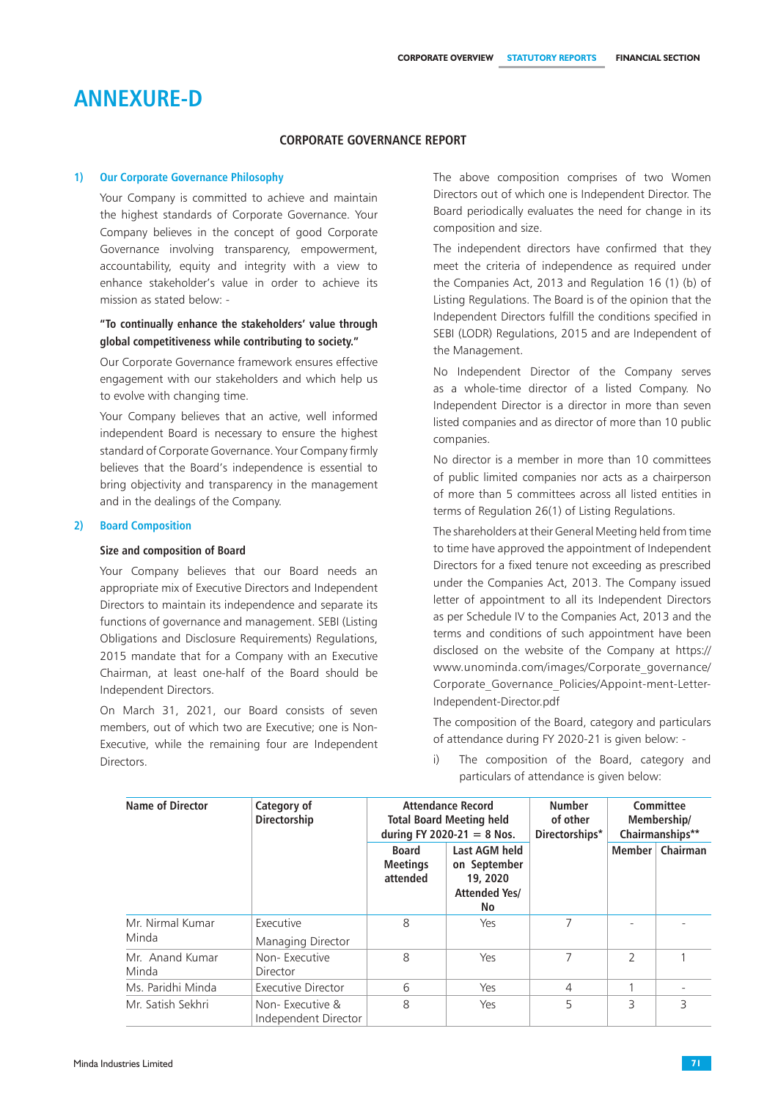# **Annexure-d**

## **CORPORATE GOVERNANCE REPORT**

#### **1) Our Corporate Governance Philosophy**

Your Company is committed to achieve and maintain the highest standards of Corporate Governance. Your Company believes in the concept of good Corporate Governance involving transparency, empowerment, accountability, equity and integrity with a view to enhance stakeholder's value in order to achieve its mission as stated below: -

## **"To continually enhance the stakeholders' value through global competitiveness while contributing to society."**

Our Corporate Governance framework ensures effective engagement with our stakeholders and which help us to evolve with changing time.

Your Company believes that an active, well informed independent Board is necessary to ensure the highest standard of Corporate Governance. Your Company firmly believes that the Board's independence is essential to bring objectivity and transparency in the management and in the dealings of the Company.

### **2) Board Composition**

### **Size and composition of Board**

Your Company believes that our Board needs an appropriate mix of Executive Directors and Independent Directors to maintain its independence and separate its functions of governance and management. SEBI (Listing Obligations and Disclosure Requirements) Regulations, 2015 mandate that for a Company with an Executive Chairman, at least one-half of the Board should be Independent Directors.

On March 31, 2021, our Board consists of seven members, out of which two are Executive; one is Non-Executive, while the remaining four are Independent Directors.

The above composition comprises of two Women Directors out of which one is Independent Director. The Board periodically evaluates the need for change in its composition and size.

The independent directors have confirmed that they meet the criteria of independence as required under the Companies Act, 2013 and Regulation 16 (1) (b) of Listing Regulations. The Board is of the opinion that the Independent Directors fulfill the conditions specified in SEBI (LODR) Regulations, 2015 and are Independent of the Management.

No Independent Director of the Company serves as a whole-time director of a listed Company. No Independent Director is a director in more than seven listed companies and as director of more than 10 public companies.

No director is a member in more than 10 committees of public limited companies nor acts as a chairperson of more than 5 committees across all listed entities in terms of Regulation 26(1) of Listing Regulations.

The shareholders at their General Meeting held from time to time have approved the appointment of Independent Directors for a fixed tenure not exceeding as prescribed under the Companies Act, 2013. The Company issued letter of appointment to all its Independent Directors as per Schedule IV to the Companies Act, 2013 and the terms and conditions of such appointment have been disclosed on the website of the Company at https:// www.unominda.com/images/Corporate\_governance/ Corporate\_Governance\_Policies/Appoint-ment-Letter-Independent-Director.pdf

The composition of the Board, category and particulars of attendance during FY 2020-21 is given below: -

- **Name of Director Category of Directorship Attendance Record Total Board Meeting held during FY 2020-21 = 8 Nos. Number of other Directorships\* Committee Membership/ Chairmanships\*\* Board Meetings attended Last AGM held on September 19, 2020 Attended Yes/ No Member Chairman** Mr. Nirmal Kumar Minda Executive Managing Director 8 | Yes | 7 | - | -Mr. Anand Kumar Minda Non- Executive Director 8 | Yes | 7 | 2 | 1 Ms. Paridhi Minda | Executive Director | 6 | Yes | 4 | 1 Mr. Satish Sekhri | Non- Executive & Independent Director 8 | Yes | 5 | 3 | 3
- i) The composition of the Board, category and particulars of attendance is given below: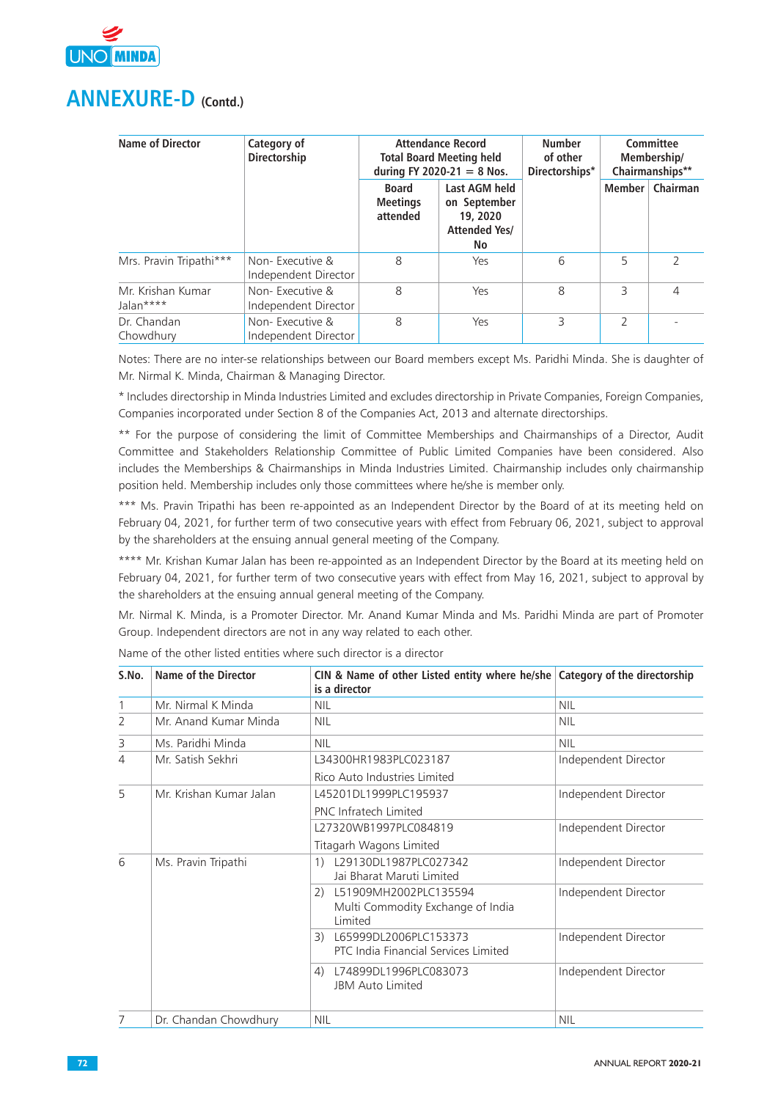

| <b>Name of Director</b>        | Category of<br>Directorship             |                                             | <b>Attendance Record</b><br><b>Total Board Meeting held</b><br>during FY 2020-21 = 8 Nos. |   |                | Committee<br>Membership/<br>Chairmanships** |
|--------------------------------|-----------------------------------------|---------------------------------------------|-------------------------------------------------------------------------------------------|---|----------------|---------------------------------------------|
|                                |                                         | <b>Board</b><br><b>Meetings</b><br>attended | Last AGM held<br>on September<br>19, 2020<br><b>Attended Yes/</b><br>No                   |   | Member         | Chairman                                    |
| Mrs. Pravin Tripathi***        | Non-Executive &<br>Independent Director | 8                                           | Yes                                                                                       | 6 | 5              |                                             |
| Mr. Krishan Kumar<br>Jalan**** | Non-Executive &<br>Independent Director | 8                                           | Yes                                                                                       | 8 | 3              | 4                                           |
| Dr. Chandan<br>Chowdhury       | Non-Executive &<br>Independent Director | 8                                           | Yes                                                                                       | 3 | $\overline{2}$ |                                             |

Notes: There are no inter-se relationships between our Board members except Ms. Paridhi Minda. She is daughter of Mr. Nirmal K. Minda, Chairman & Managing Director.

\* Includes directorship in Minda Industries Limited and excludes directorship in Private Companies, Foreign Companies, Companies incorporated under Section 8 of the Companies Act, 2013 and alternate directorships.

\*\* For the purpose of considering the limit of Committee Memberships and Chairmanships of a Director, Audit Committee and Stakeholders Relationship Committee of Public Limited Companies have been considered. Also includes the Memberships & Chairmanships in Minda Industries Limited. Chairmanship includes only chairmanship position held. Membership includes only those committees where he/she is member only.

\*\*\* Ms. Pravin Tripathi has been re-appointed as an Independent Director by the Board of at its meeting held on February 04, 2021, for further term of two consecutive years with effect from February 06, 2021, subject to approval by the shareholders at the ensuing annual general meeting of the Company.

\*\*\*\* Mr. Krishan Kumar Jalan has been re-appointed as an Independent Director by the Board at its meeting held on February 04, 2021, for further term of two consecutive years with effect from May 16, 2021, subject to approval by the shareholders at the ensuing annual general meeting of the Company.

Mr. Nirmal K. Minda, is a Promoter Director. Mr. Anand Kumar Minda and Ms. Paridhi Minda are part of Promoter Group. Independent directors are not in any way related to each other.

| S.No.          | <b>Name of the Director</b> | CIN & Name of other Listed entity where he/she Category of the directorship<br>is a director |                      |
|----------------|-----------------------------|----------------------------------------------------------------------------------------------|----------------------|
| 1              | Mr. Nirmal K Minda          | <b>NIL</b>                                                                                   | <b>NIL</b>           |
| $\overline{2}$ | Mr. Anand Kumar Minda       | <b>NIL</b>                                                                                   | <b>NIL</b>           |
| 3              | Ms. Paridhi Minda           | <b>NIL</b>                                                                                   | <b>NIL</b>           |
| $\overline{4}$ | Mr. Satish Sekhri           | L34300HR1983PLC023187                                                                        | Independent Director |
|                |                             | Rico Auto Industries Limited                                                                 |                      |
| 5              | Mr. Krishan Kumar Jalan     | L45201DL1999PLC195937                                                                        | Independent Director |
|                |                             | PNC Infratech Limited                                                                        |                      |
|                |                             | L27320WB1997PLC084819                                                                        | Independent Director |
|                |                             | Titagarh Wagons Limited                                                                      |                      |
| 6              | Ms. Pravin Tripathi         | L29130DL1987PLC027342<br>1)<br>Jai Bharat Maruti Limited                                     | Independent Director |
|                |                             | L51909MH2002PLC135594<br>2)<br>Multi Commodity Exchange of India<br>Limited                  | Independent Director |
|                |                             | L65999DL2006PLC153373<br>3)<br>PTC India Financial Services Limited                          | Independent Director |
|                |                             | L74899DL1996PLC083073<br>4)<br><b>JBM Auto Limited</b>                                       | Independent Director |
|                | Dr. Chandan Chowdhury       | <b>NIL</b>                                                                                   | <b>NIL</b>           |

Name of the other listed entities where such director is a director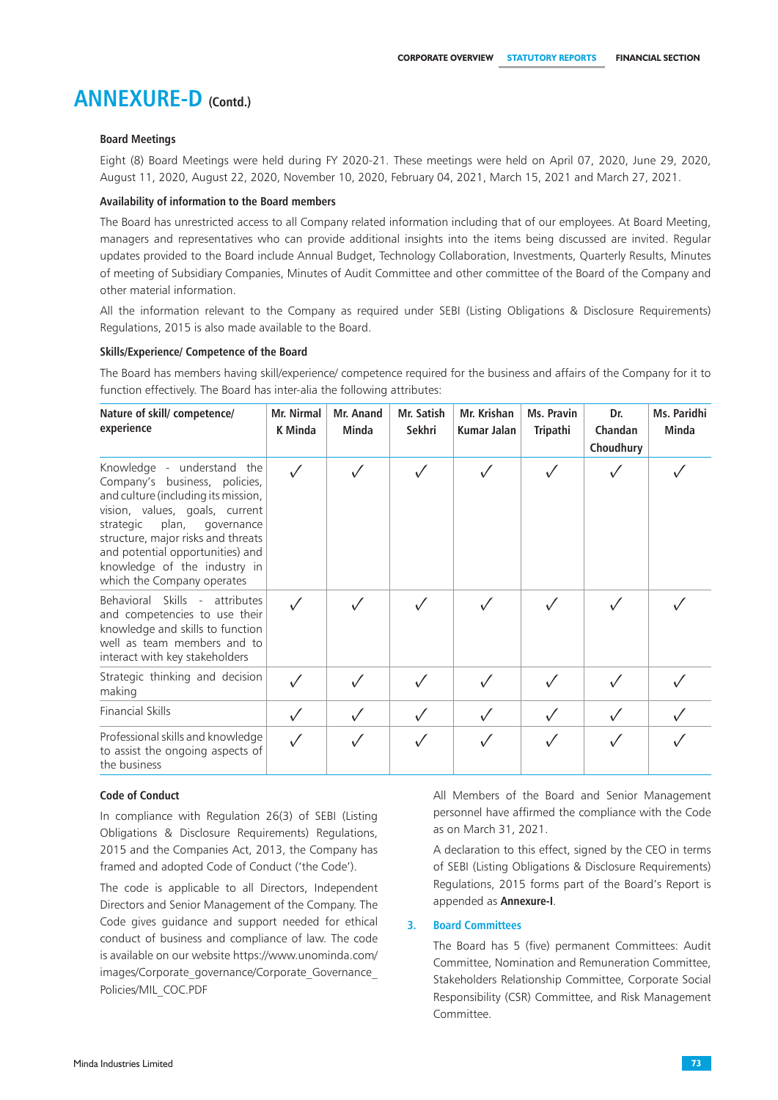### **Board Meetings**

Eight (8) Board Meetings were held during FY 2020-21. These meetings were held on April 07, 2020, June 29, 2020, August 11, 2020, August 22, 2020, November 10, 2020, February 04, 2021, March 15, 2021 and March 27, 2021.

### **Availability of information to the Board members**

The Board has unrestricted access to all Company related information including that of our employees. At Board Meeting, managers and representatives who can provide additional insights into the items being discussed are invited. Regular updates provided to the Board include Annual Budget, Technology Collaboration, Investments, Quarterly Results, Minutes of meeting of Subsidiary Companies, Minutes of Audit Committee and other committee of the Board of the Company and other material information.

All the information relevant to the Company as required under SEBI (Listing Obligations & Disclosure Requirements) Regulations, 2015 is also made available to the Board.

### **Skills/Experience/ Competence of the Board**

The Board has members having skill/experience/ competence required for the business and affairs of the Company for it to function effectively. The Board has inter-alia the following attributes:

| Nature of skill/competence/<br>experience                                                                                                                                                                                                                                                                        | Mr. Nirmal<br>K Minda | Mr. Anand<br>Minda | Mr. Satish<br>Sekhri | Mr. Krishan<br>Kumar Jalan | Ms. Pravin<br><b>Tripathi</b> | Dr.<br>Chandan<br>Choudhury | Ms. Paridhi<br>Minda |
|------------------------------------------------------------------------------------------------------------------------------------------------------------------------------------------------------------------------------------------------------------------------------------------------------------------|-----------------------|--------------------|----------------------|----------------------------|-------------------------------|-----------------------------|----------------------|
| Knowledge - understand the<br>Company's business, policies,<br>and culture (including its mission,<br>vision, values, goals, current<br>plan,<br>strategic<br>governance<br>structure, major risks and threats<br>and potential opportunities) and<br>knowledge of the industry in<br>which the Company operates |                       |                    |                      |                            |                               |                             |                      |
| Behavioral Skills - attributes<br>and competencies to use their<br>knowledge and skills to function<br>well as team members and to<br>interact with key stakeholders                                                                                                                                             | $\checkmark$          |                    |                      |                            |                               |                             |                      |
| Strategic thinking and decision<br>making                                                                                                                                                                                                                                                                        |                       |                    |                      |                            |                               |                             |                      |
| <b>Financial Skills</b>                                                                                                                                                                                                                                                                                          | $\sqrt{}$             |                    |                      |                            |                               |                             |                      |
| Professional skills and knowledge<br>to assist the ongoing aspects of<br>the business                                                                                                                                                                                                                            |                       |                    |                      |                            |                               |                             |                      |

#### **Code of Conduct**

In compliance with Regulation 26(3) of SEBI (Listing Obligations & Disclosure Requirements) Regulations, 2015 and the Companies Act, 2013, the Company has framed and adopted Code of Conduct ('the Code').

The code is applicable to all Directors, Independent Directors and Senior Management of the Company. The Code gives guidance and support needed for ethical conduct of business and compliance of law. The code is available on our website https://www.unominda.com/ images/Corporate\_governance/Corporate\_Governance Policies/MIL\_COC.PDF

All Members of the Board and Senior Management personnel have affirmed the compliance with the Code as on March 31, 2021.

A declaration to this effect, signed by the CEO in terms of SEBI (Listing Obligations & Disclosure Requirements) Regulations, 2015 forms part of the Board's Report is appended as **Annexure-I**.

### **3. Board Committees**

The Board has 5 (five) permanent Committees: Audit Committee, Nomination and Remuneration Committee, Stakeholders Relationship Committee, Corporate Social Responsibility (CSR) Committee, and Risk Management Committee.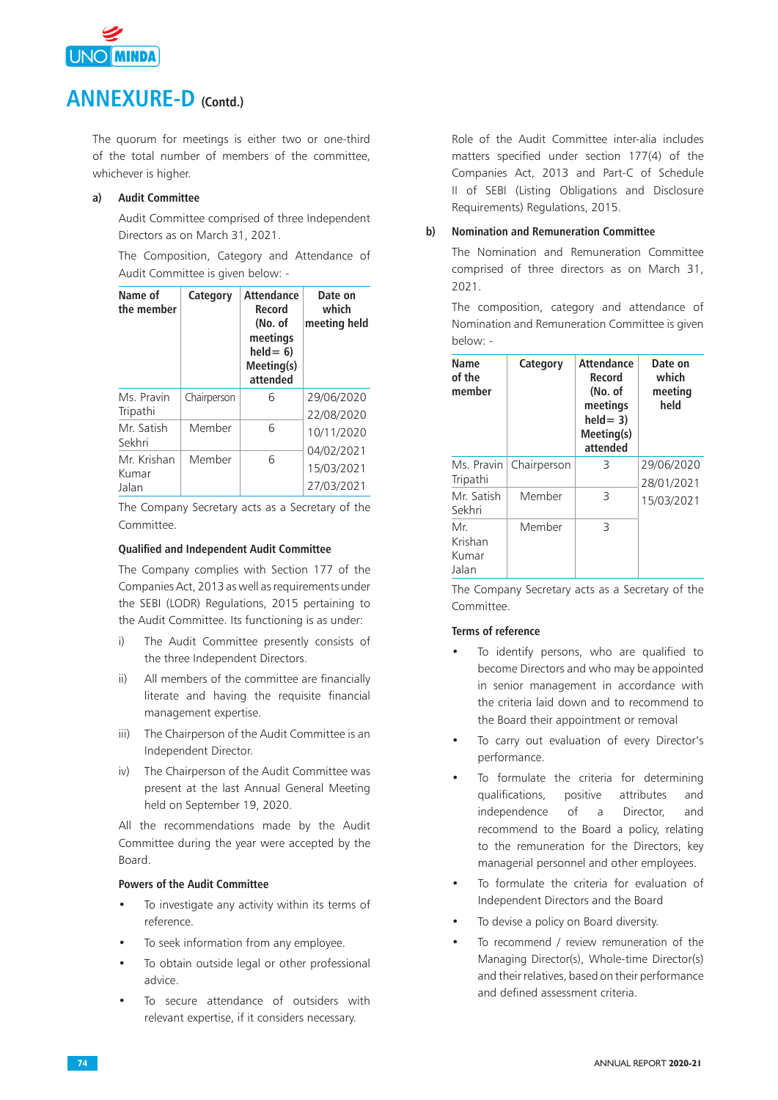

The quorum for meetings is either two or one-third of the total number of members of the committee, whichever is higher.

### **a) Audit Committee**

Audit Committee comprised of three Independent Directors as on March 31, 2021.

The Composition, Category and Attendance of Audit Committee is given below: -

| Name of<br>the member         | Category    | <b>Attendance</b><br>Record<br>(No. of<br>meetings<br>$\text{held} = 6$<br>Meeting(s)<br>attended | Date on<br>which<br>meeting held       |
|-------------------------------|-------------|---------------------------------------------------------------------------------------------------|----------------------------------------|
| Ms. Pravin<br>Tripathi        | Chairperson | 6                                                                                                 | 29/06/2020<br>22/08/2020               |
| Mr. Satish<br>Sekhri          | Member      | 6                                                                                                 | 10/11/2020                             |
| Mr. Krishan<br>Kumar<br>Jalan | Member      | 6                                                                                                 | 04/02/2021<br>15/03/2021<br>27/03/2021 |

The Company Secretary acts as a Secretary of the Committee.

### **Qualified and Independent Audit Committee**

The Company complies with Section 177 of the Companies Act, 2013 as well as requirements under the SEBI (LODR) Regulations, 2015 pertaining to the Audit Committee. Its functioning is as under:

- i) The Audit Committee presently consists of the three Independent Directors.
- ii) All members of the committee are financially literate and having the requisite financial management expertise.
- iii) The Chairperson of the Audit Committee is an Independent Director.
- iv) The Chairperson of the Audit Committee was present at the last Annual General Meeting held on September 19, 2020.

 All the recommendations made by the Audit Committee during the year were accepted by the Board.

### **Powers of the Audit Committee**

- To investigate any activity within its terms of reference.
- To seek information from any employee.
- To obtain outside legal or other professional advice.
- To secure attendance of outsiders with relevant expertise, if it considers necessary.

Role of the Audit Committee inter-alia includes matters specified under section 177(4) of the Companies Act, 2013 and Part-C of Schedule II of SEBI (Listing Obligations and Disclosure Requirements) Regulations, 2015.

### **b) Nomination and Remuneration Committee**

The Nomination and Remuneration Committee comprised of three directors as on March 31, 2021.

The composition, category and attendance of Nomination and Remuneration Committee is given below: -

| Name<br>of the<br>member         | Category    | <b>Attendance</b><br>Record<br>(No. of<br>meetings<br>$held = 3)$<br>Meeting(s)<br>attended | Date on<br>which<br>meeting<br>held |
|----------------------------------|-------------|---------------------------------------------------------------------------------------------|-------------------------------------|
| Ms. Pravin<br>Tripathi           | Chairperson | 3                                                                                           | 29/06/2020<br>28/01/2021            |
| Mr. Satish<br>Sekhri             | Member      | 3                                                                                           | 15/03/2021                          |
| Mr.<br>Krishan<br>Kumar<br>Jalan | Member      | 3                                                                                           |                                     |

The Company Secretary acts as a Secretary of the Committee.

### **Terms of reference**

- To identify persons, who are qualified to become Directors and who may be appointed in senior management in accordance with the criteria laid down and to recommend to the Board their appointment or removal
- To carry out evaluation of every Director's performance.
- To formulate the criteria for determining qualifications, positive attributes and independence of a Director, and recommend to the Board a policy, relating to the remuneration for the Directors, key managerial personnel and other employees.
- To formulate the criteria for evaluation of Independent Directors and the Board
- To devise a policy on Board diversity.
- To recommend / review remuneration of the Managing Director(s), Whole-time Director(s) and their relatives, based on their performance and defined assessment criteria.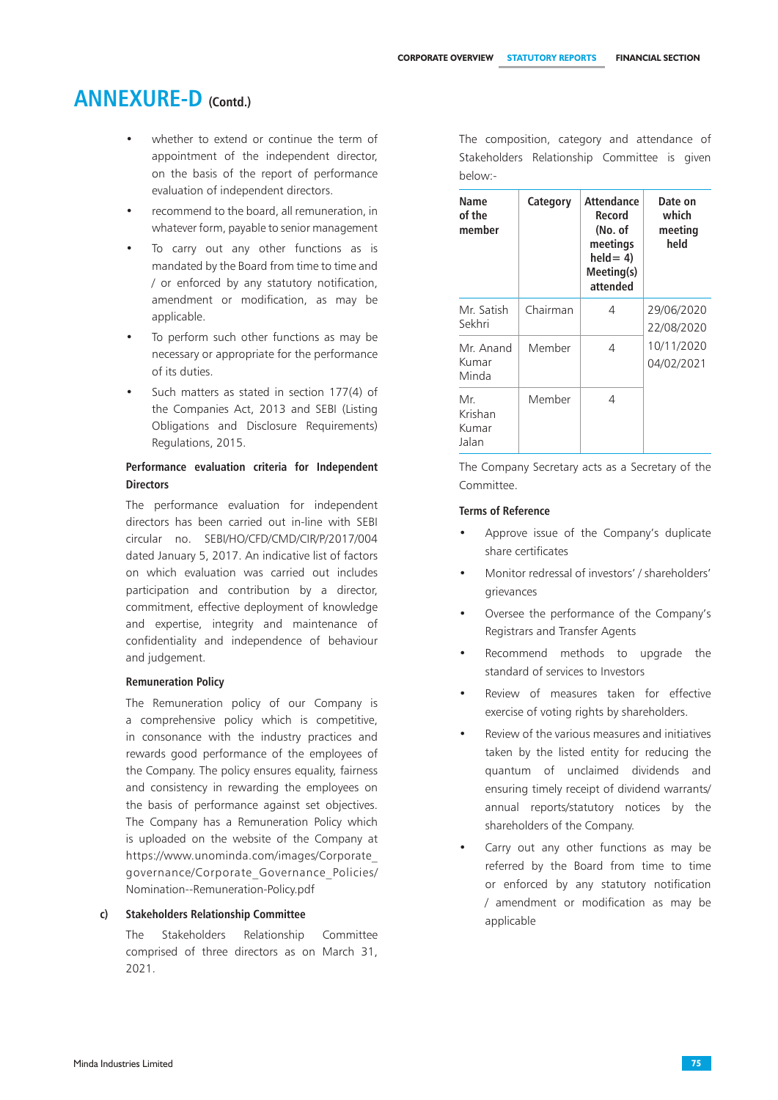- whether to extend or continue the term of appointment of the independent director, on the basis of the report of performance evaluation of independent directors.
- recommend to the board, all remuneration, in whatever form, payable to senior management
- To carry out any other functions as is mandated by the Board from time to time and / or enforced by any statutory notification, amendment or modification, as may be applicable.
- To perform such other functions as may be necessary or appropriate for the performance of its duties.
- Such matters as stated in section 177(4) of the Companies Act, 2013 and SEBI (Listing Obligations and Disclosure Requirements) Regulations, 2015.

## **Performance evaluation criteria for Independent Directors**

 The performance evaluation for independent directors has been carried out in-line with SEBI circular no. SEBI/HO/CFD/CMD/CIR/P/2017/004 dated January 5, 2017. An indicative list of factors on which evaluation was carried out includes participation and contribution by a director, commitment, effective deployment of knowledge and expertise, integrity and maintenance of confidentiality and independence of behaviour and judgement.

### **Remuneration Policy**

The Remuneration policy of our Company is a comprehensive policy which is competitive, in consonance with the industry practices and rewards good performance of the employees of the Company. The policy ensures equality, fairness and consistency in rewarding the employees on the basis of performance against set objectives. The Company has a Remuneration Policy which is uploaded on the website of the Company at https://www.unominda.com/images/Corporate\_ governance/Corporate\_Governance\_Policies/ Nomination--Remuneration-Policy.pdf

### **c) Stakeholders Relationship Committee**

The Stakeholders Relationship Committee comprised of three directors as on March 31, 2021.

The composition, category and attendance of Stakeholders Relationship Committee is given below:-

| Name<br>of the<br>member         | Category | <b>Attendance</b><br>Record<br>(No. of<br>meetings<br>$held = 4$<br>Meeting(s)<br>attended | Date on<br>which<br>meeting<br>held |
|----------------------------------|----------|--------------------------------------------------------------------------------------------|-------------------------------------|
| Mr. Satish<br>Sekhri             | Chairman | 4                                                                                          | 29/06/2020<br>22/08/2020            |
| Mr. Anand<br>Kumar<br>Minda      | Member   | 4                                                                                          | 10/11/2020<br>04/02/2021            |
| Mr.<br>Krishan<br>Kumar<br>Jalan | Member   | 4                                                                                          |                                     |

 The Company Secretary acts as a Secretary of the Committee.

### **Terms of Reference**

- Approve issue of the Company's duplicate share certificates
- Monitor redressal of investors' / shareholders' grievances
- Oversee the performance of the Company's Registrars and Transfer Agents
- Recommend methods to upgrade the standard of services to Investors
- Review of measures taken for effective exercise of voting rights by shareholders.
- Review of the various measures and initiatives taken by the listed entity for reducing the quantum of unclaimed dividends and ensuring timely receipt of dividend warrants/ annual reports/statutory notices by the shareholders of the Company.
- Carry out any other functions as may be referred by the Board from time to time or enforced by any statutory notification / amendment or modification as may be applicable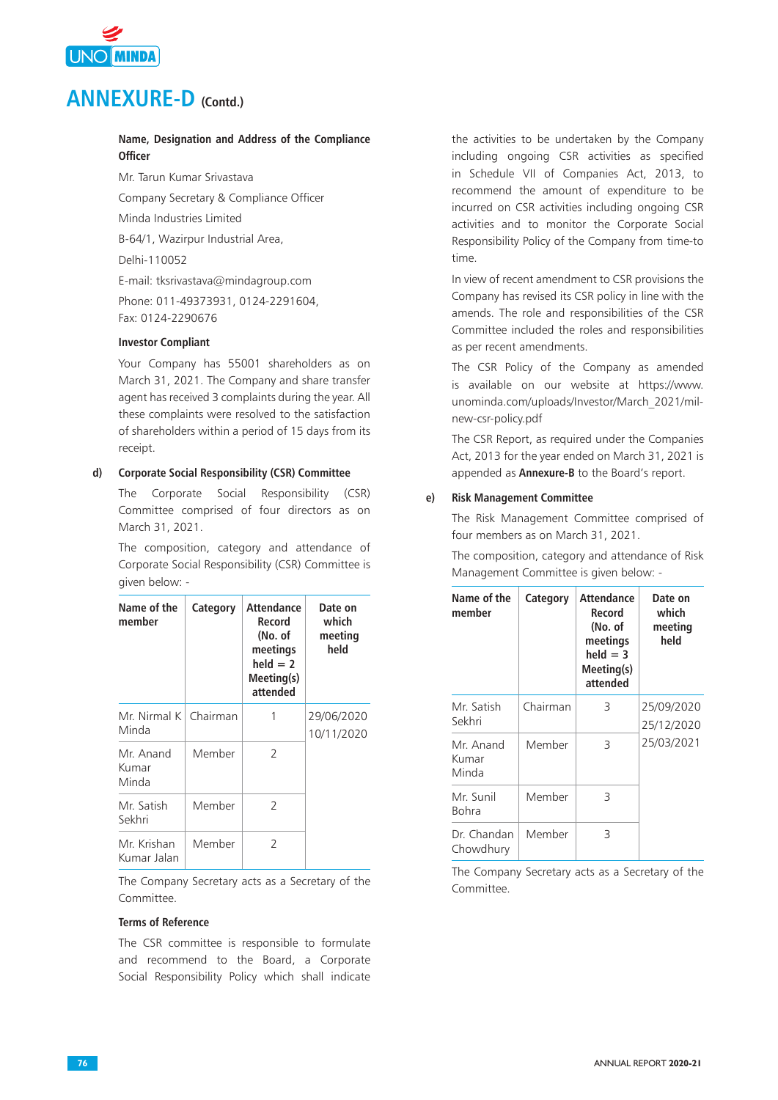

## **Name, Designation and Address of the Compliance Officer**

Mr. Tarun Kumar Srivastava Company Secretary & Compliance Officer Minda Industries Limited B-64/1, Wazirpur Industrial Area, Delhi-110052 E-mail: tksrivastava@mindagroup.com Phone: 011-49373931, 0124-2291604, Fax: 0124-2290676

## **Investor Compliant**

Your Company has 55001 shareholders as on March 31, 2021. The Company and share transfer agent has received 3 complaints during the year. All these complaints were resolved to the satisfaction of shareholders within a period of 15 days from its receipt.

### **d) Corporate Social Responsibility (CSR) Committee**

The Corporate Social Responsibility (CSR) Committee comprised of four directors as on March 31, 2021.

The composition, category and attendance of Corporate Social Responsibility (CSR) Committee is given below: -

| Name of the<br>member            | Category | <b>Attendance</b><br>Record<br>(No. of<br>meetings<br>$held = 2$<br>Meeting(s)<br>attended | Date on<br>which<br>meeting<br>held |
|----------------------------------|----------|--------------------------------------------------------------------------------------------|-------------------------------------|
| Mr. Nirmal K   Chairman<br>Minda |          | 1                                                                                          | 29/06/2020<br>10/11/2020            |
| Mr. Anand<br>Kumar<br>Minda      | Member   | $\mathcal{P}$                                                                              |                                     |
| Mr. Satish<br>Sekhri             | Member   | 2                                                                                          |                                     |
| Mr. Krishan<br>Kumar Jalan       | Member   | $\mathcal{P}$                                                                              |                                     |

The Company Secretary acts as a Secretary of the Committee.

## **Terms of Reference**

The CSR committee is responsible to formulate and recommend to the Board, a Corporate Social Responsibility Policy which shall indicate the activities to be undertaken by the Company including ongoing CSR activities as specified in Schedule VII of Companies Act, 2013, to recommend the amount of expenditure to be incurred on CSR activities including ongoing CSR activities and to monitor the Corporate Social Responsibility Policy of the Company from time-to time.

In view of recent amendment to CSR provisions the Company has revised its CSR policy in line with the amends. The role and responsibilities of the CSR Committee included the roles and responsibilities as per recent amendments.

The CSR Policy of the Company as amended is available on our website at https://www. unominda.com/uploads/Investor/March\_2021/milnew-csr-policy.pdf

The CSR Report, as required under the Companies Act, 2013 for the year ended on March 31, 2021 is appended as **Annexure-B** to the Board's report.

### **e) Risk Management Committee**

The Risk Management Committee comprised of four members as on March 31, 2021.

The composition, category and attendance of Risk Management Committee is given below: -

| Name of the<br>member       | Category | <b>Attendance</b><br>Record<br>(No. of<br>meetings<br>$held = 3$<br>Meeting(s)<br>attended | Date on<br>which<br>meeting<br>held |
|-----------------------------|----------|--------------------------------------------------------------------------------------------|-------------------------------------|
| Mr. Satish<br>Sekhri        | Chairman | 3                                                                                          | 25/09/2020<br>25/12/2020            |
| Mr. Anand<br>Kumar<br>Minda | Member   | 3                                                                                          | 25/03/2021                          |
| Mr. Sunil<br>Bohra          | Member   | 3                                                                                          |                                     |
| Dr. Chandan<br>Chowdhury    | Member   | 3                                                                                          |                                     |

The Company Secretary acts as a Secretary of the Committee.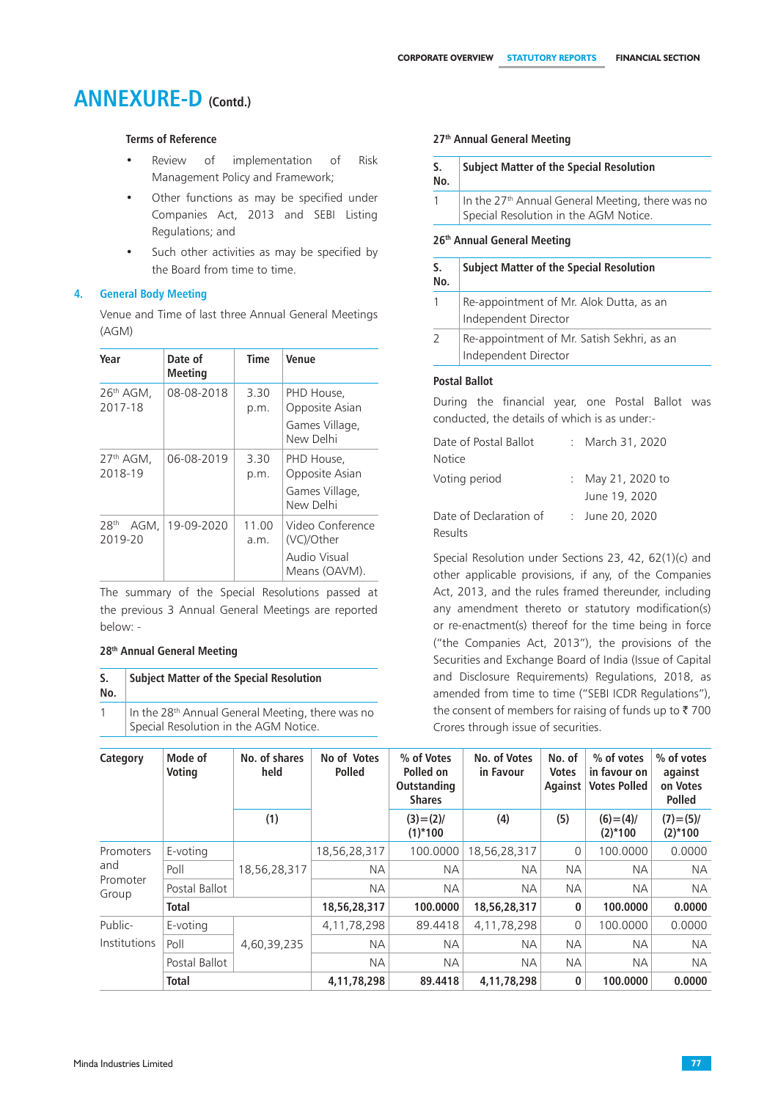## **Terms of Reference**

- Review of implementation of Risk Management Policy and Framework;
- Other functions as may be specified under Companies Act, 2013 and SEBI Listing Regulations; and
- Such other activities as may be specified by the Board from time to time.

### **4. General Body Meeting**

Venue and Time of last three Annual General Meetings (AGM)

| Year                                | Date of<br><b>Meeting</b> | Time          | <b>Venue</b>                                                    |
|-------------------------------------|---------------------------|---------------|-----------------------------------------------------------------|
| 26 <sup>th</sup> AGM.<br>2017-18    | 08-08-2018                | 3.30<br>p.m.  | PHD House,<br>Opposite Asian<br>Games Village,<br>New Delhi     |
| $27th$ AGM.<br>2018-19              | 06-08-2019                | 3.30<br>p.m.  | PHD House,<br>Opposite Asian<br>Games Village,<br>New Delhi     |
| 28 <sup>th</sup><br>AGM.<br>2019-20 | 19-09-2020                | 11.00<br>a.m. | Video Conference<br>(VC)/Other<br>Audio Visual<br>Means (OAVM). |

 The summary of the Special Resolutions passed at the previous 3 Annual General Meetings are reported below: -

### **28th Annual General Meeting**

| S.<br>No.    | <b>Subject Matter of the Special Resolution</b>              |
|--------------|--------------------------------------------------------------|
| $\mathbf{1}$ | In the 28 <sup>th</sup> Annual General Meeting, there was no |

Special Resolution in the AGM Notice.

### **27th Annual General Meeting**

| S.<br>No. | <b>Subject Matter of the Special Resolution</b>                                                       |
|-----------|-------------------------------------------------------------------------------------------------------|
|           | In the 27 <sup>th</sup> Annual General Meeting, there was no<br>Special Resolution in the AGM Notice. |
|           |                                                                                                       |

### **26th Annual General Meeting**

| S.<br>No. | <b>Subject Matter of the Special Resolution</b>                    |
|-----------|--------------------------------------------------------------------|
|           | Re-appointment of Mr. Alok Dutta, as an<br>Independent Director    |
|           | Re-appointment of Mr. Satish Sekhri, as an<br>Independent Director |

### **Postal Ballot**

During the financial year, one Postal Ballot was conducted, the details of which is as under:-

| Date of Postal Ballot  | March 31, 2020                   |
|------------------------|----------------------------------|
| <b>Notice</b>          |                                  |
| Voting period          | May 21, 2020 to<br>June 19, 2020 |
| Date of Declaration of | : June 20, 2020                  |
| Results                |                                  |

Special Resolution under Sections 23, 42, 62(1)(c) and other applicable provisions, if any, of the Companies Act, 2013, and the rules framed thereunder, including any amendment thereto or statutory modification(s) or re-enactment(s) thereof for the time being in force ("the Companies Act, 2013"), the provisions of the Securities and Exchange Board of India (Issue of Capital and Disclosure Requirements) Regulations, 2018, as amended from time to time ("SEBI ICDR Regulations"), the consent of members for raising of funds up to  $\bar{z}$  700 Crores through issue of securities.

| Category                | Mode of<br>Voting | No. of shares<br>held | No of Votes<br><b>Polled</b> | % of Votes<br>Polled on<br>Outstanding<br><b>Shares</b> | No. of Votes<br>in Favour | No. of<br><b>Votes</b><br>Against | % of votes<br>in favour on<br><b>Votes Polled</b> | % of votes<br>against<br>on Votes<br><b>Polled</b> |
|-------------------------|-------------------|-----------------------|------------------------------|---------------------------------------------------------|---------------------------|-----------------------------------|---------------------------------------------------|----------------------------------------------------|
|                         |                   | (1)                   |                              | $(3) = (2)$<br>$(1)$ <sup>*</sup> 100                   | (4)                       | (5)                               | $(6) = (4)$<br>$(2)$ *100                         | $(7) = (5)$<br>$(2)$ <sup>*</sup> 100              |
| Promoters               | E-voting          | 18,56,28,317          | 18,56,28,317                 | 100.0000                                                | 18,56,28,317              | $\overline{0}$                    | 100.0000                                          | 0.0000                                             |
| and                     | Poll              |                       | <b>NA</b>                    | <b>NA</b>                                               | <b>NA</b>                 | <b>NA</b>                         | ΝA                                                | <b>NA</b>                                          |
| Promoter<br>Group       | Postal Ballot     |                       | <b>NA</b>                    | <b>NA</b>                                               | <b>NA</b>                 | <b>NA</b>                         | <b>NA</b>                                         | <b>NA</b>                                          |
|                         | <b>Total</b>      |                       | 18,56,28,317                 | 100,0000                                                | 18,56,28,317              | 0                                 | 100.0000                                          | 0.0000                                             |
| Public-<br>Institutions | E-voting          |                       | 4, 11, 78, 298               | 89.4418                                                 | 4, 11, 78, 298            | $\Omega$                          | 100.0000                                          | 0.0000                                             |
|                         | Poll              | 4,60,39,235           | <b>NA</b>                    | <b>NA</b>                                               | <b>NA</b>                 | <b>NA</b>                         | ΝA                                                | <b>NA</b>                                          |
|                         | Postal Ballot     |                       | <b>NA</b>                    | <b>NA</b>                                               | <b>NA</b>                 | <b>NA</b>                         | <b>NA</b>                                         | <b>NA</b>                                          |
|                         | <b>Total</b>      |                       | 4,11,78,298                  | 89.4418                                                 | 4,11,78,298               | $\mathbf 0$                       | 100.0000                                          | 0.0000                                             |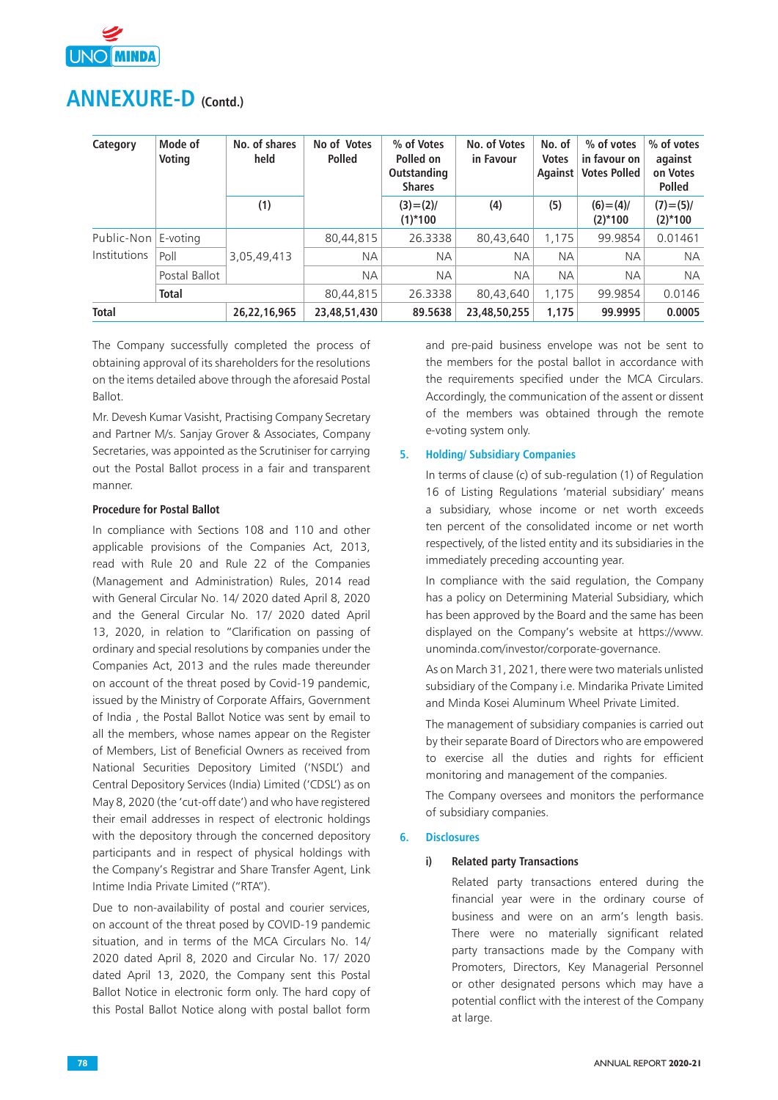

| Category     | Mode of<br>Voting | No. of shares<br>held | No of Votes<br><b>Polled</b> | % of Votes<br>Polled on<br><b>Outstanding</b><br><b>Shares</b> | No. of Votes<br>in Favour | No. of<br><b>Votes</b><br>Against | % of votes<br>in favour on<br><b>Votes Polled</b> | % of votes<br>against<br>on Votes<br><b>Polled</b> |
|--------------|-------------------|-----------------------|------------------------------|----------------------------------------------------------------|---------------------------|-----------------------------------|---------------------------------------------------|----------------------------------------------------|
|              |                   | (1)                   |                              | $(3)=(2)/$<br>$(1)$ <sup>*</sup> 100                           | (4)                       | (5)                               | $(6)=(4)/$<br>$(2)$ <sup>*</sup> 100              | $(7) = (5)$<br>$(2)$ <sup>*</sup> 100              |
| Public-Non   | E-voting          | 3,05,49,413           | 80,44,815                    | 26.3338                                                        | 80,43,640                 | 1,175                             | 99.9854                                           | 0.01461                                            |
| Institutions | Poll              |                       | <b>NA</b>                    | <b>NA</b>                                                      | <b>NA</b>                 | <b>NA</b>                         | <b>NA</b>                                         | <b>NA</b>                                          |
|              | Postal Ballot     |                       | <b>NA</b>                    | <b>NA</b>                                                      | <b>NA</b>                 | <b>NA</b>                         | <b>NA</b>                                         | <b>NA</b>                                          |
|              | <b>Total</b>      |                       | 80,44,815                    | 26.3338                                                        | 80,43,640                 | 1.175                             | 99.9854                                           | 0.0146                                             |
| <b>Total</b> |                   | 26,22,16,965          | 23,48,51,430                 | 89.5638                                                        | 23,48,50,255              | 1,175                             | 99.9995                                           | 0.0005                                             |

The Company successfully completed the process of obtaining approval of its shareholders for the resolutions on the items detailed above through the aforesaid Postal Ballot.

Mr. Devesh Kumar Vasisht, Practising Company Secretary and Partner M/s. Sanjay Grover & Associates, Company Secretaries, was appointed as the Scrutiniser for carrying out the Postal Ballot process in a fair and transparent manner.

### **Procedure for Postal Ballot**

In compliance with Sections 108 and 110 and other applicable provisions of the Companies Act, 2013, read with Rule 20 and Rule 22 of the Companies (Management and Administration) Rules, 2014 read with General Circular No. 14/ 2020 dated April 8, 2020 and the General Circular No. 17/ 2020 dated April 13, 2020, in relation to "Clarification on passing of ordinary and special resolutions by companies under the Companies Act, 2013 and the rules made thereunder on account of the threat posed by Covid-19 pandemic, issued by the Ministry of Corporate Affairs, Government of India , the Postal Ballot Notice was sent by email to all the members, whose names appear on the Register of Members, List of Beneficial Owners as received from National Securities Depository Limited ('NSDL') and Central Depository Services (India) Limited ('CDSL') as on May 8, 2020 (the 'cut-off date') and who have registered their email addresses in respect of electronic holdings with the depository through the concerned depository participants and in respect of physical holdings with the Company's Registrar and Share Transfer Agent, Link Intime India Private Limited ("RTA").

Due to non-availability of postal and courier services, on account of the threat posed by COVID-19 pandemic situation, and in terms of the MCA Circulars No. 14/ 2020 dated April 8, 2020 and Circular No. 17/ 2020 dated April 13, 2020, the Company sent this Postal Ballot Notice in electronic form only. The hard copy of this Postal Ballot Notice along with postal ballot form

and pre-paid business envelope was not be sent to the members for the postal ballot in accordance with the requirements specified under the MCA Circulars. Accordingly, the communication of the assent or dissent of the members was obtained through the remote e-voting system only.

### **5. Holding/ Subsidiary Companies**

In terms of clause (c) of sub-regulation (1) of Regulation 16 of Listing Regulations 'material subsidiary' means a subsidiary, whose income or net worth exceeds ten percent of the consolidated income or net worth respectively, of the listed entity and its subsidiaries in the immediately preceding accounting year.

In compliance with the said regulation, the Company has a policy on Determining Material Subsidiary, which has been approved by the Board and the same has been displayed on the Company's website at https://www. unominda.com/investor/corporate-governance.

As on March 31, 2021, there were two materials unlisted subsidiary of the Company i.e. Mindarika Private Limited and Minda Kosei Aluminum Wheel Private Limited.

The management of subsidiary companies is carried out by their separate Board of Directors who are empowered to exercise all the duties and rights for efficient monitoring and management of the companies.

The Company oversees and monitors the performance of subsidiary companies.

### **6. Disclosures**

### **i) Related party Transactions**

 Related party transactions entered during the financial year were in the ordinary course of business and were on an arm's length basis. There were no materially significant related party transactions made by the Company with Promoters, Directors, Key Managerial Personnel or other designated persons which may have a potential conflict with the interest of the Company at large.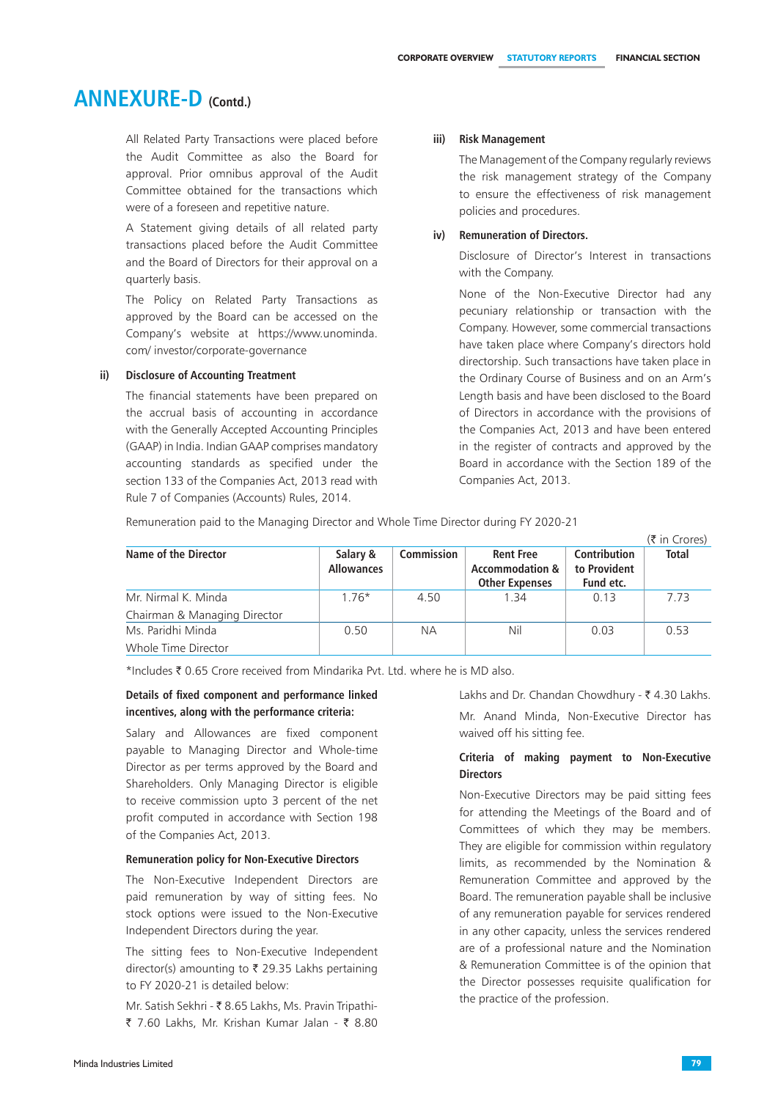All Related Party Transactions were placed before the Audit Committee as also the Board for approval. Prior omnibus approval of the Audit Committee obtained for the transactions which were of a foreseen and repetitive nature.

 A Statement giving details of all related party transactions placed before the Audit Committee and the Board of Directors for their approval on a quarterly basis.

 The Policy on Related Party Transactions as approved by the Board can be accessed on the Company's website at https://www.unominda. com/ investor/corporate-governance

### **ii) Disclosure of Accounting Treatment**

The financial statements have been prepared on the accrual basis of accounting in accordance with the Generally Accepted Accounting Principles (GAAP) in India. Indian GAAP comprises mandatory accounting standards as specified under the section 133 of the Companies Act, 2013 read with Rule 7 of Companies (Accounts) Rules, 2014.

### **iii) Risk Management**

The Management of the Company regularly reviews the risk management strategy of the Company to ensure the effectiveness of risk management policies and procedures.

### **iv) Remuneration of Directors.**

Disclosure of Director's Interest in transactions with the Company.

None of the Non-Executive Director had any pecuniary relationship or transaction with the Company. However, some commercial transactions have taken place where Company's directors hold directorship. Such transactions have taken place in the Ordinary Course of Business and on an Arm's Length basis and have been disclosed to the Board of Directors in accordance with the provisions of the Companies Act, 2013 and have been entered in the register of contracts and approved by the Board in accordance with the Section 189 of the Companies Act, 2013.

Remuneration paid to the Managing Director and Whole Time Director during FY 2020-21

|                              |                               |            |                                                                         |                                                  | $(5 \infty)$ |
|------------------------------|-------------------------------|------------|-------------------------------------------------------------------------|--------------------------------------------------|--------------|
| Name of the Director         | Salary &<br><b>Allowances</b> | Commission | <b>Rent Free</b><br><b>Accommodation &amp;</b><br><b>Other Expenses</b> | <b>Contribution</b><br>to Provident<br>Fund etc. | <b>Total</b> |
| Mr. Nirmal K. Minda          | $1.76*$                       | 4.50       | 1.34                                                                    | 0.13                                             | 7.73         |
| Chairman & Managing Director |                               |            |                                                                         |                                                  |              |
| Ms. Paridhi Minda            | 0.50                          | <b>NA</b>  | Nil                                                                     | 0.03                                             | 0.53         |
| Whole Time Director          |                               |            |                                                                         |                                                  |              |

\*Includes  $\bar{\tau}$  0.65 Crore received from Mindarika Pvt. Ltd. where he is MD also.

### **Details of fixed component and performance linked incentives, along with the performance criteria:**

Salary and Allowances are fixed component payable to Managing Director and Whole-time Director as per terms approved by the Board and Shareholders. Only Managing Director is eligible to receive commission upto 3 percent of the net profit computed in accordance with Section 198 of the Companies Act, 2013.

#### **Remuneration policy for Non-Executive Directors**

The Non-Executive Independent Directors are paid remuneration by way of sitting fees. No stock options were issued to the Non-Executive Independent Directors during the year.

The sitting fees to Non-Executive Independent director(s) amounting to  $\bar{\tau}$  29.35 Lakhs pertaining to FY 2020-21 is detailed below:

Mr. Satish Sekhri - ₹ 8.65 Lakhs, Ms. Pravin Tripathi-₹ 7.60 Lakhs, Mr. Krishan Kumar Jalan - ₹ 8.80 Lakhs and Dr. Chandan Chowdhury -  $\bar{\tau}$  4.30 Lakhs. Mr. Anand Minda, Non-Executive Director has waived off his sitting fee.

### **Criteria of making payment to Non-Executive Directors**

Non-Executive Directors may be paid sitting fees for attending the Meetings of the Board and of Committees of which they may be members. They are eligible for commission within regulatory limits, as recommended by the Nomination & Remuneration Committee and approved by the Board. The remuneration payable shall be inclusive of any remuneration payable for services rendered in any other capacity, unless the services rendered are of a professional nature and the Nomination & Remuneration Committee is of the opinion that the Director possesses requisite qualification for the practice of the profession.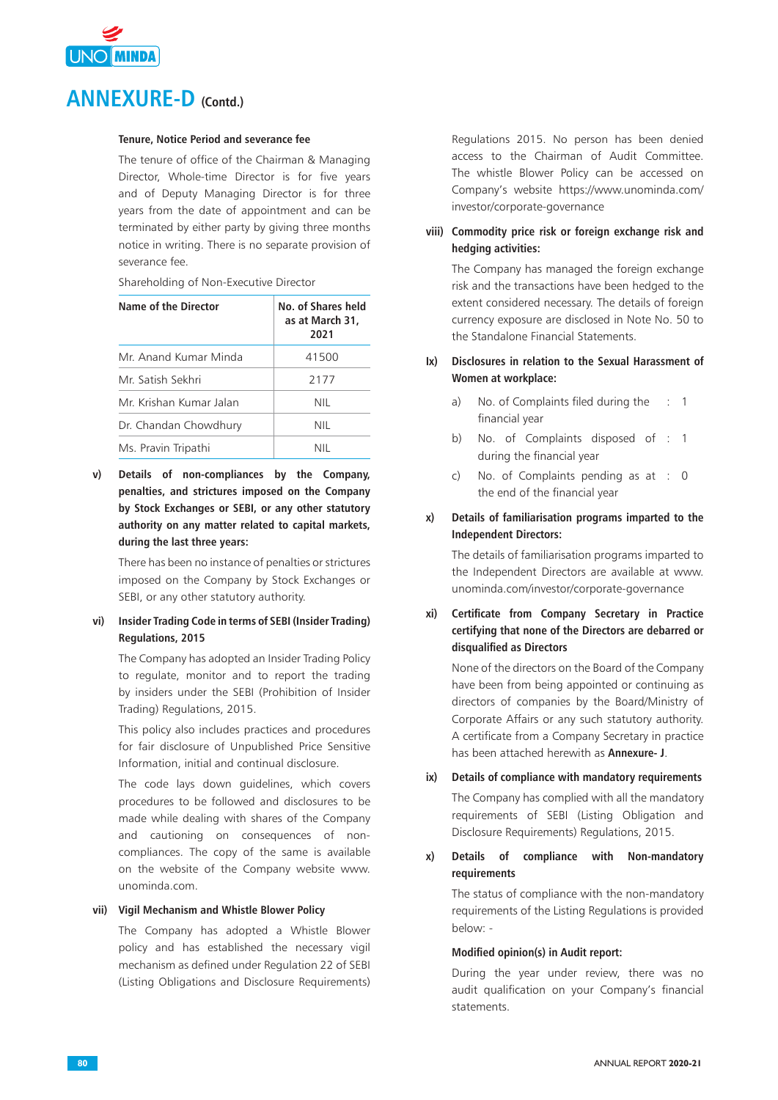

### **Tenure, Notice Period and severance fee**

The tenure of office of the Chairman & Managing Director, Whole-time Director is for five years and of Deputy Managing Director is for three years from the date of appointment and can be terminated by either party by giving three months notice in writing. There is no separate provision of severance fee.

Shareholding of Non-Executive Director

| Name of the Director    | No. of Shares held<br>as at March 31,<br>2021 |
|-------------------------|-----------------------------------------------|
| Mr. Anand Kumar Minda   | 41500                                         |
| Mr. Satish Sekhri       | 2177                                          |
| Mr. Krishan Kumar Jalan | NIL                                           |
| Dr. Chandan Chowdhury   | NIL                                           |
| Ms. Pravin Tripathi     | NII                                           |

**v) Details of non-compliances by the Company, penalties, and strictures imposed on the Company by Stock Exchanges or SEBI, or any other statutory authority on any matter related to capital markets, during the last three years:**

 There has been no instance of penalties or strictures imposed on the Company by Stock Exchanges or SEBI, or any other statutory authority.

## **vi) Insider Trading Code in terms of SEBI (Insider Trading) Regulations, 2015**

The Company has adopted an Insider Trading Policy to regulate, monitor and to report the trading by insiders under the SEBI (Prohibition of Insider Trading) Regulations, 2015.

 This policy also includes practices and procedures for fair disclosure of Unpublished Price Sensitive Information, initial and continual disclosure.

The code lays down guidelines, which covers procedures to be followed and disclosures to be made while dealing with shares of the Company and cautioning on consequences of noncompliances. The copy of the same is available on the website of the Company website www. unominda.com.

### **vii) Vigil Mechanism and Whistle Blower Policy**

The Company has adopted a Whistle Blower policy and has established the necessary vigil mechanism as defined under Regulation 22 of SEBI (Listing Obligations and Disclosure Requirements)

Regulations 2015. No person has been denied access to the Chairman of Audit Committee. The whistle Blower Policy can be accessed on Company's website https://www.unominda.com/ investor/corporate-governance

## **viii) Commodity price risk or foreign exchange risk and hedging activities:**

The Company has managed the foreign exchange risk and the transactions have been hedged to the extent considered necessary. The details of foreign currency exposure are disclosed in Note No. 50 to the Standalone Financial Statements.

## **Ix) Disclosures in relation to the Sexual Harassment of Women at workplace:**

- a) No. of Complaints filed during the financial year : 1
- b) No. of Complaints disposed of : 1 during the financial year
- c) No. of Complaints pending as at : 0 the end of the financial year

## **x) Details of familiarisation programs imparted to the Independent Directors:**

 The details of familiarisation programs imparted to the Independent Directors are available at www. unominda.com/investor/corporate-governance

## **xi) Certificate from Company Secretary in Practice certifying that none of the Directors are debarred or disqualified as Directors**

None of the directors on the Board of the Company have been from being appointed or continuing as directors of companies by the Board/Ministry of Corporate Affairs or any such statutory authority. A certificate from a Company Secretary in practice has been attached herewith as **Annexure- J**.

**ix) Details of compliance with mandatory requirements** The Company has complied with all the mandatory requirements of SEBI (Listing Obligation and Disclosure Requirements) Regulations, 2015.

## **x) Details of compliance with Non-mandatory requirements**

 The status of compliance with the non-mandatory requirements of the Listing Regulations is provided below: -

### **Modified opinion(s) in Audit report:**

During the year under review, there was no audit qualification on your Company's financial statements.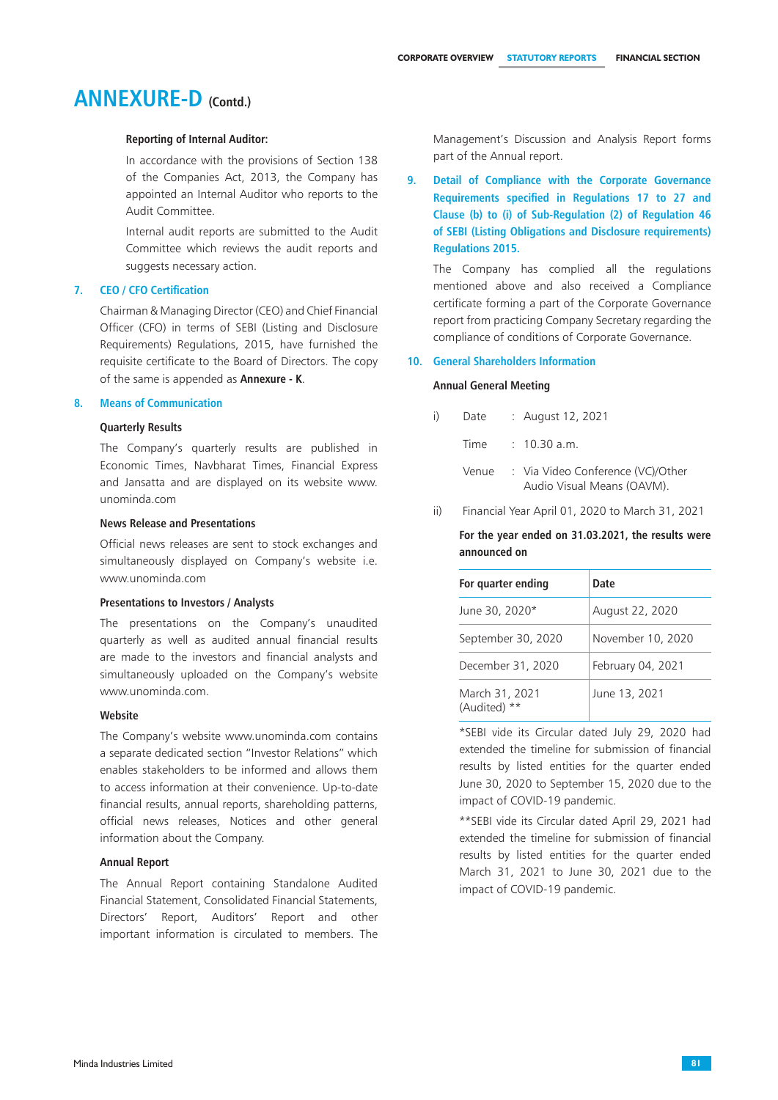### **Reporting of Internal Auditor:**

In accordance with the provisions of Section 138 of the Companies Act, 2013, the Company has appointed an Internal Auditor who reports to the Audit Committee.

 Internal audit reports are submitted to the Audit Committee which reviews the audit reports and suggests necessary action.

### **7. CEO / CFO Certification**

Chairman & Managing Director (CEO) and Chief Financial Officer (CFO) in terms of SEBI (Listing and Disclosure Requirements) Regulations, 2015, have furnished the requisite certificate to the Board of Directors. The copy of the same is appended as **Annexure - K**.

#### **8. Means of Communication**

### **Quarterly Results**

The Company's quarterly results are published in Economic Times, Navbharat Times, Financial Express and Jansatta and are displayed on its website www. unominda.com

#### **News Release and Presentations**

Official news releases are sent to stock exchanges and simultaneously displayed on Company's website i.e. www.unominda.com

#### **Presentations to Investors / Analysts**

The presentations on the Company's unaudited quarterly as well as audited annual financial results are made to the investors and financial analysts and simultaneously uploaded on the Company's website www.unominda.com.

#### **Website**

The Company's website www.unominda.com contains a separate dedicated section "Investor Relations" which enables stakeholders to be informed and allows them to access information at their convenience. Up-to-date financial results, annual reports, shareholding patterns, official news releases, Notices and other general information about the Company.

### **Annual Report**

The Annual Report containing Standalone Audited Financial Statement, Consolidated Financial Statements, Directors' Report, Auditors' Report and other important information is circulated to members. The Management's Discussion and Analysis Report forms part of the Annual report.

## **9. Detail of Compliance with the Corporate Governance Requirements specified in Regulations 17 to 27 and Clause (b) to (i) of Sub-Regulation (2) of Regulation 46 of SEBI (Listing Obligations and Disclosure requirements) Regulations 2015.**

The Company has complied all the regulations mentioned above and also received a Compliance certificate forming a part of the Corporate Governance report from practicing Company Secretary regarding the compliance of conditions of Corporate Governance.

### **10. General Shareholders Information**

#### **Annual General Meeting**

| i)<br>Date |  | August 12, 2021 |  |  |
|------------|--|-----------------|--|--|
|------------|--|-----------------|--|--|

- Time : 10.30 a.m.
- Venue : Via Video Conference (VC)/Other Audio Visual Means (OAVM).
- ii) Financial Year April 01, 2020 to March 31, 2021

 **For the year ended on 31.03.2021, the results were announced on**

| For quarter ending             | Date              |
|--------------------------------|-------------------|
| June 30, 2020*                 | August 22, 2020   |
| September 30, 2020             | November 10, 2020 |
| December 31, 2020              | February 04, 2021 |
| March 31, 2021<br>(Audited) ** | June 13, 2021     |

\*SEBI vide its Circular dated July 29, 2020 had extended the timeline for submission of financial results by listed entities for the quarter ended June 30, 2020 to September 15, 2020 due to the impact of COVID-19 pandemic.

\*\*SEBI vide its Circular dated April 29, 2021 had extended the timeline for submission of financial results by listed entities for the quarter ended March 31, 2021 to June 30, 2021 due to the impact of COVID-19 pandemic.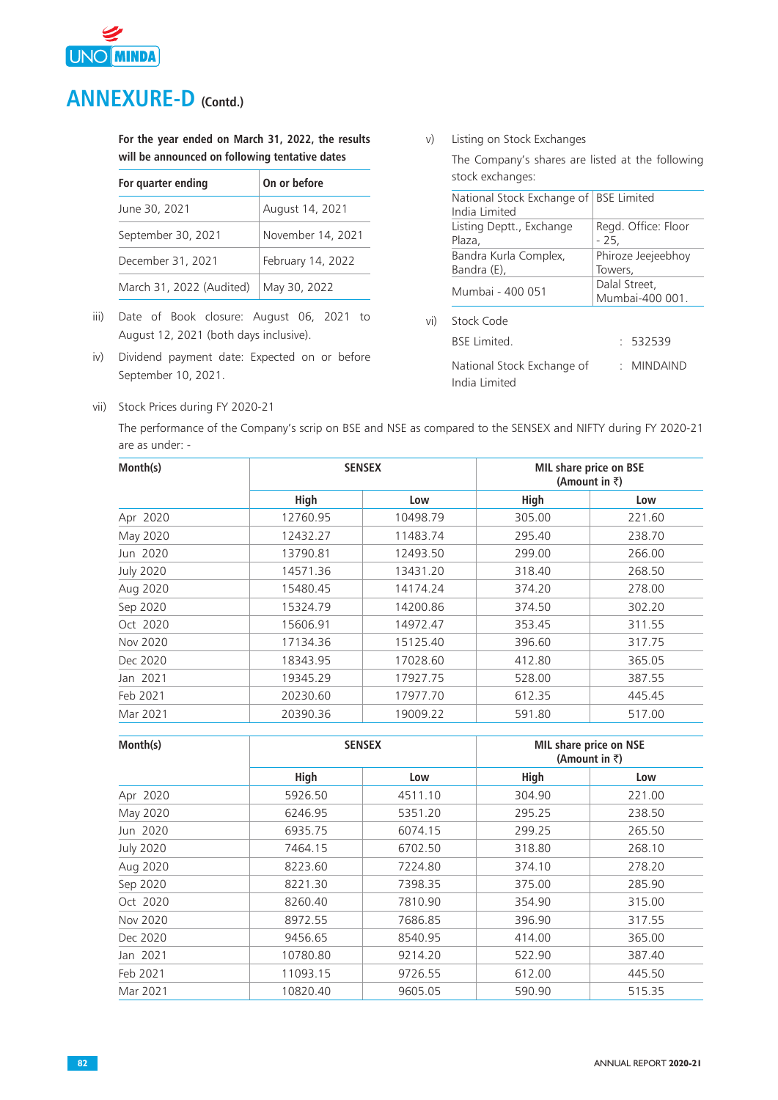

 **For the year ended on March 31, 2022, the results will be announced on following tentative dates** 

| For quarter ending       | On or before      |
|--------------------------|-------------------|
| June 30, 2021            | August 14, 2021   |
| September 30, 2021       | November 14, 2021 |
| December 31, 2021        | February 14, 2022 |
| March 31, 2022 (Audited) | May 30, 2022      |

- iii) Date of Book closure: August 06, 2021 to August 12, 2021 (both days inclusive).
- iv) Dividend payment date: Expected on or before September 10, 2021.

v) Listing on Stock Exchanges

The Company's shares are listed at the following stock exchanges:

|     | National Stock Exchange of   BSE Limited<br>India Limited |                                  |  |  |
|-----|-----------------------------------------------------------|----------------------------------|--|--|
|     | Listing Deptt., Exchange<br>Plaza.                        | Regd. Office: Floor<br>- 25.     |  |  |
|     | Bandra Kurla Complex,<br>Bandra (E),                      | Phiroze Jeejeebhoy<br>Towers,    |  |  |
|     | Mumbai - 400 051                                          | Dalal Street,<br>Mumbai-400 001. |  |  |
| vi) | Stock Code                                                |                                  |  |  |
|     | <b>BSF</b> Limited                                        | : 532539                         |  |  |
|     | National Stock Exchange of<br>India Limited               | : MINDAIND                       |  |  |

vii) Stock Prices during FY 2020-21

The performance of the Company's scrip on BSE and NSE as compared to the SENSEX and NIFTY during FY 2020-21 are as under: -

| Month(s)         |          | <b>SENSEX</b> | <b>MIL share price on BSE</b><br>(Amount in $\bar{z}$ ) |        |  |
|------------------|----------|---------------|---------------------------------------------------------|--------|--|
|                  | High     | Low           | High                                                    | Low    |  |
| Apr 2020         | 12760.95 | 10498.79      | 305.00                                                  | 221.60 |  |
| May 2020         | 12432.27 | 11483.74      | 295.40                                                  | 238.70 |  |
| Jun 2020         | 13790.81 | 12493.50      | 299.00                                                  | 266.00 |  |
| <b>July 2020</b> | 14571.36 | 13431.20      | 318.40                                                  | 268.50 |  |
| Aug 2020         | 15480.45 | 14174.24      | 374.20                                                  | 278.00 |  |
| Sep 2020         | 15324.79 | 14200.86      | 374.50                                                  | 302.20 |  |
| Oct 2020         | 15606.91 | 14972.47      | 353.45                                                  | 311.55 |  |
| Nov 2020         | 17134.36 | 15125.40      | 396.60                                                  | 317.75 |  |
| Dec 2020         | 18343.95 | 17028.60      | 412.80                                                  | 365.05 |  |
| Jan 2021         | 19345.29 | 17927.75      | 528.00                                                  | 387.55 |  |
| Feb 2021         | 20230.60 | 17977.70      | 612.35                                                  | 445.45 |  |
| Mar 2021         | 20390.36 | 19009.22      | 591.80                                                  | 517.00 |  |

| Month(s)         |          | <b>SENSEX</b> | <b>MIL share price on NSE</b><br>(Amount in $\bar{z}$ ) |        |  |
|------------------|----------|---------------|---------------------------------------------------------|--------|--|
|                  | High     | Low           | High                                                    | Low    |  |
| Apr 2020         | 5926.50  | 4511.10       | 304.90                                                  | 221.00 |  |
| May 2020         | 6246.95  | 5351.20       | 295.25                                                  | 238.50 |  |
| Jun 2020         | 6935.75  | 6074.15       | 299.25                                                  | 265.50 |  |
| <b>July 2020</b> | 7464.15  | 6702.50       | 318.80                                                  | 268.10 |  |
| Aug 2020         | 8223.60  | 7224.80       | 374.10                                                  | 278.20 |  |
| Sep 2020         | 8221.30  | 7398.35       | 375.00                                                  | 285.90 |  |
| Oct 2020         | 8260.40  | 7810.90       | 354.90                                                  | 315.00 |  |
| Nov 2020         | 8972.55  | 7686.85       | 396.90                                                  | 317.55 |  |
| Dec 2020         | 9456.65  | 8540.95       | 414.00                                                  | 365.00 |  |
| Jan 2021         | 10780.80 | 9214.20       | 522.90                                                  | 387.40 |  |
| Feb 2021         | 11093.15 | 9726.55       | 612.00                                                  | 445.50 |  |
| Mar 2021         | 10820.40 | 9605.05       | 590.90                                                  | 515.35 |  |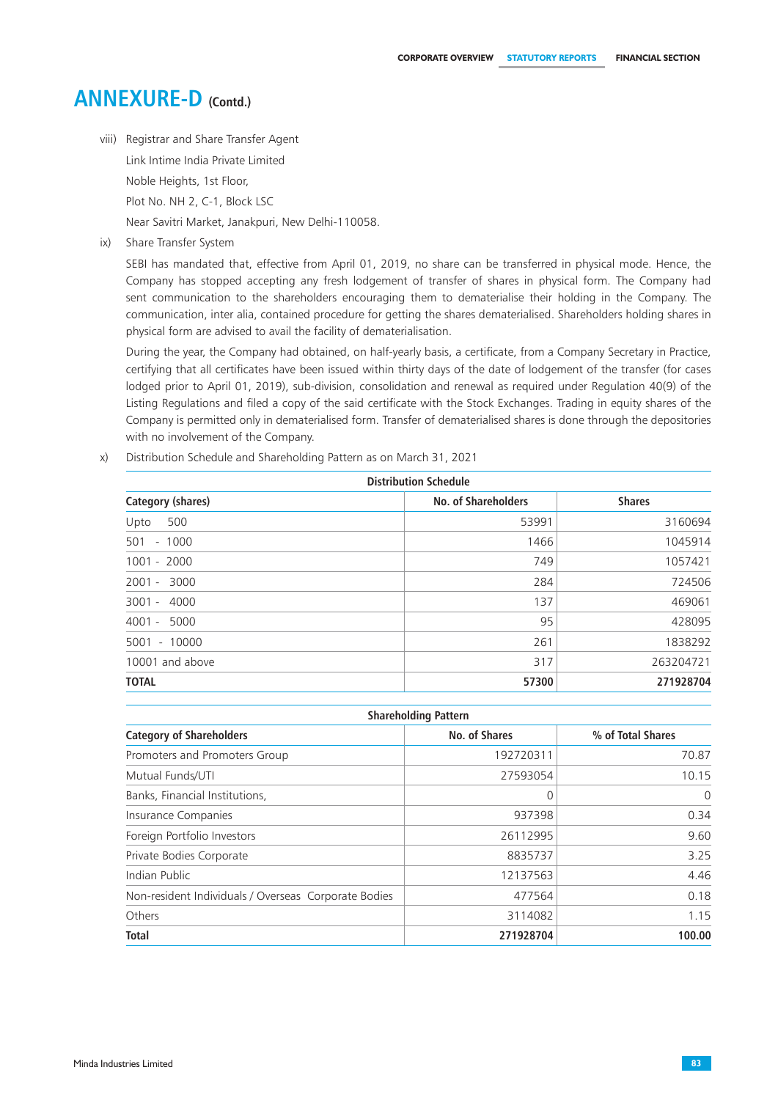viii) Registrar and Share Transfer Agent

Link Intime India Private Limited

Noble Heights, 1st Floor,

Plot No. NH 2, C-1, Block LSC

Near Savitri Market, Janakpuri, New Delhi-110058.

ix) Share Transfer System

SEBI has mandated that, effective from April 01, 2019, no share can be transferred in physical mode. Hence, the Company has stopped accepting any fresh lodgement of transfer of shares in physical form. The Company had sent communication to the shareholders encouraging them to dematerialise their holding in the Company. The communication, inter alia, contained procedure for getting the shares dematerialised. Shareholders holding shares in physical form are advised to avail the facility of dematerialisation.

During the year, the Company had obtained, on half-yearly basis, a certificate, from a Company Secretary in Practice, certifying that all certificates have been issued within thirty days of the date of lodgement of the transfer (for cases lodged prior to April 01, 2019), sub-division, consolidation and renewal as required under Regulation 40(9) of the Listing Regulations and filed a copy of the said certificate with the Stock Exchanges. Trading in equity shares of the Company is permitted only in dematerialised form. Transfer of dematerialised shares is done through the depositories with no involvement of the Company.

x) Distribution Schedule and Shareholding Pattern as on March 31, 2021

| <b>Distribution Schedule</b> |                            |               |  |  |  |
|------------------------------|----------------------------|---------------|--|--|--|
| Category (shares)            | <b>No. of Shareholders</b> | <b>Shares</b> |  |  |  |
| 500<br>Upto                  | 53991                      | 3160694       |  |  |  |
| 501<br>$-1000$               | 1466                       | 1045914       |  |  |  |
| $1001 - 2000$                | 749                        | 1057421       |  |  |  |
| 2001 - 3000                  | 284                        | 724506        |  |  |  |
| 3001 - 4000                  | 137                        | 469061        |  |  |  |
| 4001 - 5000                  | 95                         | 428095        |  |  |  |
| 5001 - 10000                 | 261                        | 1838292       |  |  |  |
| 10001 and above              | 317                        | 263204721     |  |  |  |
| <b>TOTAL</b>                 | 57300                      | 271928704     |  |  |  |

| <b>Shareholding Pattern</b>                          |               |                   |
|------------------------------------------------------|---------------|-------------------|
| <b>Category of Shareholders</b>                      | No. of Shares | % of Total Shares |
| Promoters and Promoters Group                        | 192720311     | 70.87             |
| Mutual Funds/UTI                                     | 27593054      | 10.15             |
| Banks, Financial Institutions,                       | 0             | $\Omega$          |
| Insurance Companies                                  | 937398        | 0.34              |
| Foreign Portfolio Investors                          | 26112995      | 9.60              |
| Private Bodies Corporate                             | 8835737       | 3.25              |
| Indian Public                                        | 12137563      | 4.46              |
| Non-resident Individuals / Overseas Corporate Bodies | 477564        | 0.18              |
| Others                                               | 3114082       | 1.15              |
| <b>Total</b>                                         | 271928704     | 100.00            |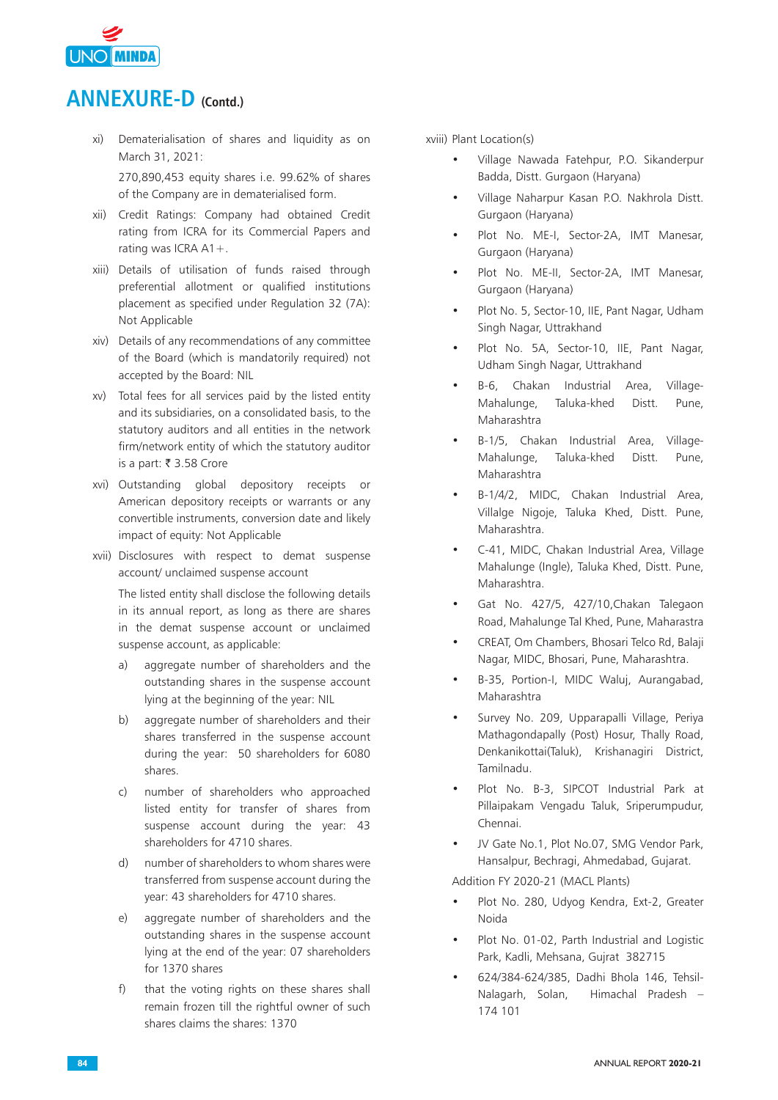

- xi) Dematerialisation of shares and liquidity as on March 31, 2021: 270,890,453 equity shares i.e. 99.62% of shares of the Company are in dematerialised form.
- xii) Credit Ratings: Company had obtained Credit rating from ICRA for its Commercial Papers and rating was ICRA A1+.
- xiii) Details of utilisation of funds raised through preferential allotment or qualified institutions placement as specified under Regulation 32 (7A): Not Applicable
- xiv) Details of any recommendations of any committee of the Board (which is mandatorily required) not accepted by the Board: NIL
- xv) Total fees for all services paid by the listed entity and its subsidiaries, on a consolidated basis, to the statutory auditors and all entities in the network firm/network entity of which the statutory auditor is a part: ₹ 3.58 Crore
- xvi) Outstanding global depository receipts or American depository receipts or warrants or any convertible instruments, conversion date and likely impact of equity: Not Applicable
- xvii) Disclosures with respect to demat suspense account/ unclaimed suspense account

 The listed entity shall disclose the following details in its annual report, as long as there are shares in the demat suspense account or unclaimed suspense account, as applicable:

- a) aggregate number of shareholders and the outstanding shares in the suspense account lying at the beginning of the year: NIL
- b) aggregate number of shareholders and their shares transferred in the suspense account during the year: 50 shareholders for 6080 shares.
- c) number of shareholders who approached listed entity for transfer of shares from suspense account during the year: 43 shareholders for 4710 shares.
- d) number of shareholders to whom shares were transferred from suspense account during the year: 43 shareholders for 4710 shares.
- e) aggregate number of shareholders and the outstanding shares in the suspense account lying at the end of the year: 07 shareholders for 1370 shares
- f) that the voting rights on these shares shall remain frozen till the rightful owner of such shares claims the shares: 1370

xviii) Plant Location(s)

- Village Nawada Fatehpur, P.O. Sikanderpur Badda, Distt. Gurgaon (Haryana)
- Village Naharpur Kasan P.O. Nakhrola Distt. Gurgaon (Haryana)
- Plot No. ME-I, Sector-2A, IMT Manesar, Gurgaon (Haryana)
- Plot No. ME-II, Sector-2A, IMT Manesar, Gurgaon (Haryana)
- Plot No. 5, Sector-10, IIE, Pant Nagar, Udham Singh Nagar, Uttrakhand
- Plot No. 5A, Sector-10, IIE, Pant Nagar, Udham Singh Nagar, Uttrakhand
- B-6, Chakan Industrial Area, Village-Mahalunge, Taluka-khed Distt. Pune, Maharashtra
- B-1/5, Chakan Industrial Area, Village-Mahalunge, Taluka-khed Distt. Pune, Maharashtra
- B-1/4/2, MIDC, Chakan Industrial Area, Villalge Nigoje, Taluka Khed, Distt. Pune, Maharashtra.
- C-41, MIDC, Chakan Industrial Area, Village Mahalunge (Ingle), Taluka Khed, Distt. Pune, Maharashtra.
- Gat No. 427/5, 427/10,Chakan Talegaon Road, Mahalunge Tal Khed, Pune, Maharastra
- CREAT, Om Chambers, Bhosari Telco Rd, Balaji Nagar, MIDC, Bhosari, Pune, Maharashtra.
- B-35, Portion-I, MIDC Waluj, Aurangabad, Maharashtra
- Survey No. 209, Upparapalli Village, Periya Mathagondapally (Post) Hosur, Thally Road, Denkanikottai(Taluk), Krishanagiri District, Tamilnadu.
- Plot No. B-3, SIPCOT Industrial Park at Pillaipakam Vengadu Taluk, Sriperumpudur, Chennai.
- JV Gate No.1, Plot No.07, SMG Vendor Park, Hansalpur, Bechragi, Ahmedabad, Gujarat.

Addition FY 2020-21 (MACL Plants)

- Plot No. 280, Udyog Kendra, Ext-2, Greater Noida
- Plot No. 01-02, Parth Industrial and Logistic Park, Kadli, Mehsana, Gujrat 382715
- 624/384-624/385, Dadhi Bhola 146, Tehsil-Nalagarh, Solan, Himachal Pradesh – 174 101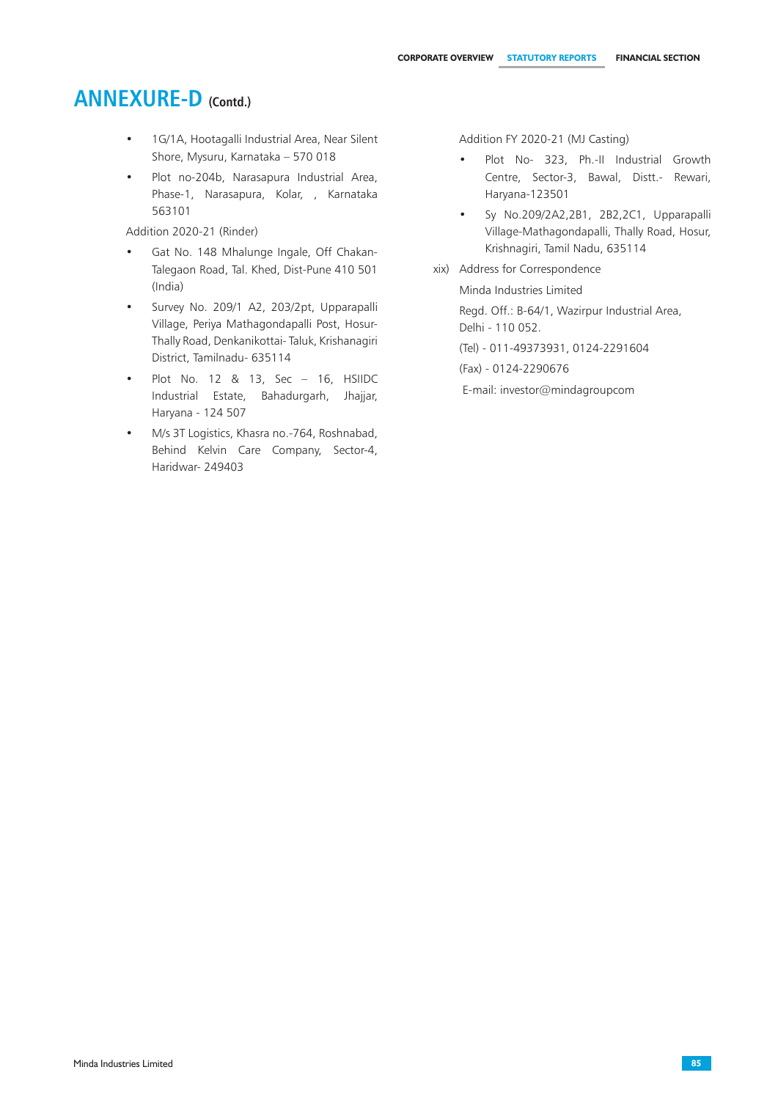- 1G/1A, Hootagalli Industrial Area, Near Silent Shore, Mysuru, Karnataka – 570 018
- Plot no-204b, Narasapura Industrial Area, Phase-1, Narasapura, Kolar, , Karnataka 563101

Addition 2020-21 (Rinder)

- Gat No. 148 Mhalunge Ingale, Off Chakan-Talegaon Road, Tal. Khed, Dist-Pune 410 501 (India)
- Survey No. 209/1 A2, 203/2pt, Upparapalli Village, Periya Mathagondapalli Post, Hosur-Thally Road, Denkanikottai- Taluk, Krishanagiri District, Tamilnadu- 635114
- Plot No. 12 & 13, Sec 16, HSIIDC Industrial Estate, Bahadurgarh, Jhajjar, Haryana - 124 507
- M/s 3T Logistics, Khasra no.-764, Roshnabad, Behind Kelvin Care Company, Sector-4, Haridwar- 249403

Addition FY 2020-21 (MJ Casting)

- Plot No- 323, Ph.-II Industrial Growth Centre, Sector-3, Bawal, Distt.- Rewari, Haryana-123501
- Sy No.209/2A2,2B1, 2B2,2C1, Upparapalli Village-Mathagondapalli, Thally Road, Hosur, Krishnagiri, Tamil Nadu, 635114
- xix) Address for Correspondence Minda Industries Limited Regd. Off.: B-64/1, Wazirpur Industrial Area, Delhi - 110 052. (Tel) - 011-49373931, 0124-2291604 (Fax) - 0124-2290676

E-mail: investor@mindagroupcom